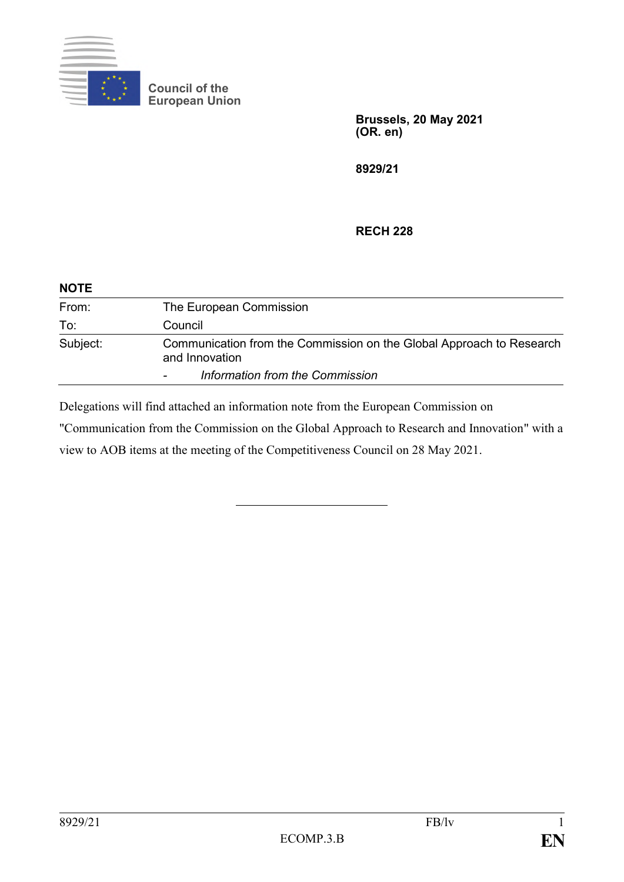

**Council of the European Union**

> **Brussels, 20 May 2021 (OR. en)**

**8929/21**

## **RECH 228**

| <b>NOTE</b> |                                                                                        |
|-------------|----------------------------------------------------------------------------------------|
| From:       | The European Commission                                                                |
| To:         | Council                                                                                |
| Subject:    | Communication from the Commission on the Global Approach to Research<br>and Innovation |
|             | Information from the Commission                                                        |

Delegations will find attached an information note from the European Commission on

"Communication from the Commission on the Global Approach to Research and Innovation" with a view to AOB items at the meeting of the Competitiveness Council on 28 May 2021.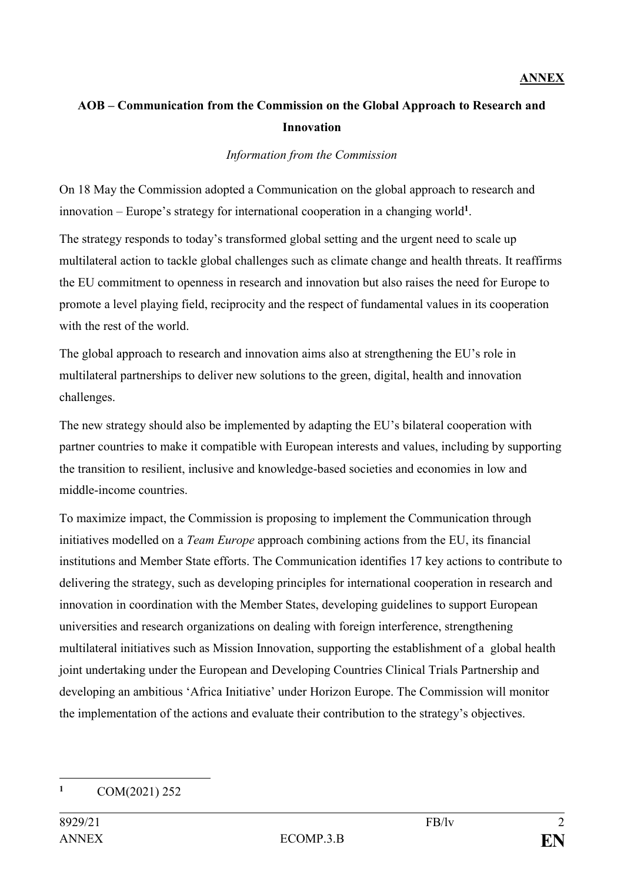## **AOB – Communication from the Commission on the Global Approach to Research and Innovation**

## *Information from the Commission*

On 18 May the Commission adopted a Communication on the global approach to research and innovation – Europe's strategy for international cooperation in a changing world**<sup>1</sup>** .

The strategy responds to today's transformed global setting and the urgent need to scale up multilateral action to tackle global challenges such as climate change and health threats. It reaffirms the EU commitment to openness in research and innovation but also raises the need for Europe to promote a level playing field, reciprocity and the respect of fundamental values in its cooperation with the rest of the world.

The global approach to research and innovation aims also at strengthening the EU's role in multilateral partnerships to deliver new solutions to the green, digital, health and innovation challenges.

The new strategy should also be implemented by adapting the EU's bilateral cooperation with partner countries to make it compatible with European interests and values, including by supporting the transition to resilient, inclusive and knowledge-based societies and economies in low and middle-income countries.

To maximize impact, the Commission is proposing to implement the Communication through initiatives modelled on a *Team Europe* approach combining actions from the EU, its financial institutions and Member State efforts. The Communication identifies 17 key actions to contribute to delivering the strategy, such as developing principles for international cooperation in research and innovation in coordination with the Member States, developing guidelines to support European universities and research organizations on dealing with foreign interference, strengthening multilateral initiatives such as Mission Innovation, supporting the establishment of a global health joint undertaking under the European and Developing Countries Clinical Trials Partnership and developing an ambitious 'Africa Initiative' under Horizon Europe. The Commission will monitor the implementation of the actions and evaluate their contribution to the strategy's objectives.

<sup>1</sup> **<sup>1</sup>** COM(2021) 252